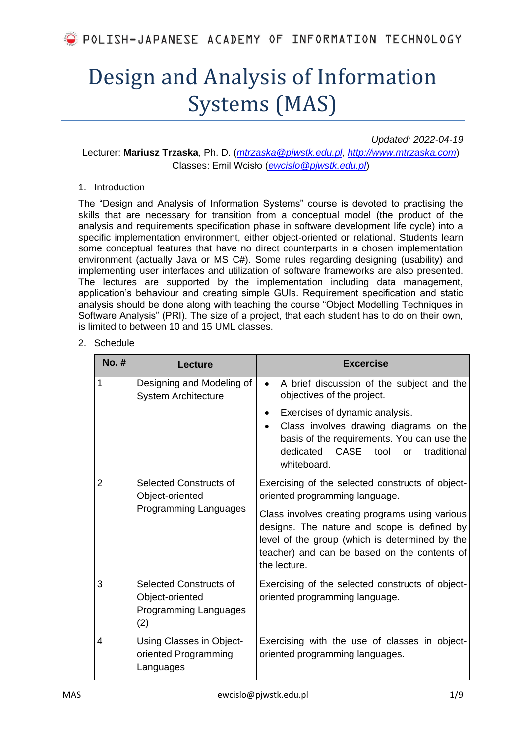# Design and Analysis of Information Systems (MAS)

*Updated: 2022-04-19*

Lecturer: **Mariusz Trzaska**, Ph. D. (*[mtrzaska@pjwstk.edu.pl](mailto:mtrzaska@pjwstk.edu.pl)*, *[http://www.mtrzaska.com](http://www.mtrzaska.com/)*) Classes: Emil Wcisło (*[ewcislo@pjwstk.edu.pl](mailto:ewcislo@pjwstk.edu.pl)*)

#### 1. Introduction

The "Design and Analysis of Information Systems" course is devoted to practising the skills that are necessary for transition from a conceptual model (the product of the analysis and requirements specification phase in software development life cycle) into a specific implementation environment, either object-oriented or relational. Students learn some conceptual features that have no direct counterparts in a chosen implementation environment (actually Java or MS C#). Some rules regarding designing (usability) and implementing user interfaces and utilization of software frameworks are also presented. The lectures are supported by the implementation including data management, application's behaviour and creating simple GUIs. Requirement specification and static analysis should be done along with teaching the course "Object Modelling Techniques in Software Analysis" (PRI). The size of a project, that each student has to do on their own, is limited to between 10 and 15 UML classes.

### 2. Schedule

| <b>No. #</b> | <b>Lecture</b>                                                            | <b>Excercise</b>                                                                                                                                                                                                                                                                                      |  |  |  |  |  |
|--------------|---------------------------------------------------------------------------|-------------------------------------------------------------------------------------------------------------------------------------------------------------------------------------------------------------------------------------------------------------------------------------------------------|--|--|--|--|--|
| 1            | Designing and Modeling of<br><b>System Architecture</b>                   | A brief discussion of the subject and the<br>$\bullet$<br>objectives of the project.                                                                                                                                                                                                                  |  |  |  |  |  |
|              |                                                                           | Exercises of dynamic analysis.<br>٠<br>Class involves drawing diagrams on the<br>$\bullet$<br>basis of the requirements. You can use the<br>CASE<br>dedicated<br>tool<br>traditional<br><b>or</b><br>whiteboard.                                                                                      |  |  |  |  |  |
| 2            | Selected Constructs of<br>Object-oriented<br>Programming Languages        | Exercising of the selected constructs of object-<br>oriented programming language.<br>Class involves creating programs using various<br>designs. The nature and scope is defined by<br>level of the group (which is determined by the<br>teacher) and can be based on the contents of<br>the lecture. |  |  |  |  |  |
| 3            | Selected Constructs of<br>Object-oriented<br>Programming Languages<br>(2) | Exercising of the selected constructs of object-<br>oriented programming language.                                                                                                                                                                                                                    |  |  |  |  |  |
| 4            | Using Classes in Object-<br>oriented Programming<br>Languages             | Exercising with the use of classes in object-<br>oriented programming languages.                                                                                                                                                                                                                      |  |  |  |  |  |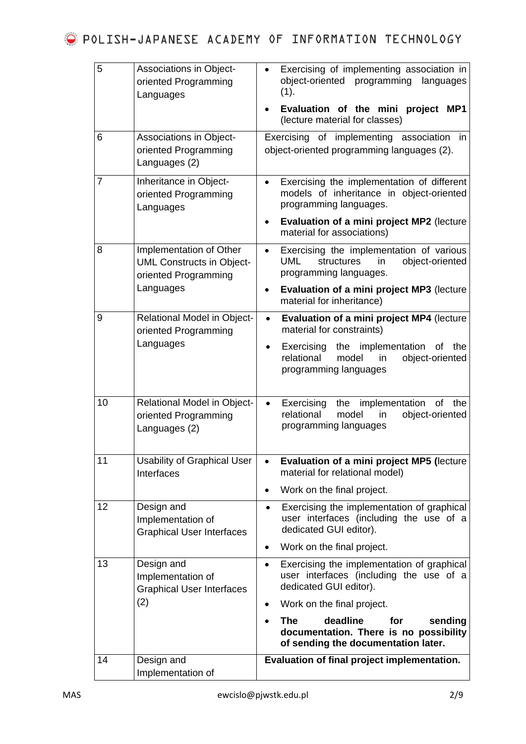| 14 | Design and<br>Implementation of                                             | Evaluation of final project implementation.                                                                                                              |  |  |  |  |  |  |
|----|-----------------------------------------------------------------------------|----------------------------------------------------------------------------------------------------------------------------------------------------------|--|--|--|--|--|--|
|    |                                                                             | deadline<br><b>The</b><br>for<br>sending<br>documentation. There is no possibility<br>of sending the documentation later.                                |  |  |  |  |  |  |
|    | (2)                                                                         | Work on the final project.                                                                                                                               |  |  |  |  |  |  |
| 13 | Design and<br>Implementation of<br><b>Graphical User Interfaces</b>         | Exercising the implementation of graphical<br>$\bullet$<br>user interfaces (including the use of a<br>dedicated GUI editor).                             |  |  |  |  |  |  |
|    |                                                                             | Work on the final project.<br>$\bullet$                                                                                                                  |  |  |  |  |  |  |
| 12 | Design and<br>Implementation of<br><b>Graphical User Interfaces</b>         | Exercising the implementation of graphical<br>$\bullet$<br>user interfaces (including the use of a<br>dedicated GUI editor).                             |  |  |  |  |  |  |
|    |                                                                             | Work on the final project.<br>$\bullet$                                                                                                                  |  |  |  |  |  |  |
| 11 | <b>Usability of Graphical User</b><br>Interfaces                            | Evaluation of a mini project MP5 (lecture<br>$\bullet$<br>material for relational model)                                                                 |  |  |  |  |  |  |
| 10 | <b>Relational Model in Object-</b><br>oriented Programming<br>Languages (2) | Exercising<br>the<br>implementation<br>0f<br>the<br>$\bullet$<br>relational<br>model<br>object-oriented<br>in<br>programming languages                   |  |  |  |  |  |  |
|    | oriented Programming<br>Languages                                           | material for constraints)<br>the implementation<br>Exercising<br>of<br>the<br>٠<br>relational<br>model<br>object-oriented<br>in<br>programming languages |  |  |  |  |  |  |
| 9  | <b>Relational Model in Object-</b>                                          | Evaluation of a mini project MP4 (lecture<br>$\bullet$                                                                                                   |  |  |  |  |  |  |
|    | oriented Programming<br>Languages                                           | programming languages.<br>Evaluation of a mini project MP3 (lecture<br>material for inheritance)                                                         |  |  |  |  |  |  |
| 8  | Implementation of Other<br><b>UML Constructs in Object-</b>                 | Exercising the implementation of various<br>$\bullet$<br><b>UML</b><br>object-oriented<br>in<br>structures                                               |  |  |  |  |  |  |
|    |                                                                             | Evaluation of a mini project MP2 (lecture<br>٠<br>material for associations)                                                                             |  |  |  |  |  |  |
| 7  | Inheritance in Object-<br>oriented Programming<br>Languages                 | Exercising the implementation of different<br>$\bullet$<br>models of inheritance in object-oriented<br>programming languages.                            |  |  |  |  |  |  |
| 6  | <b>Associations in Object-</b><br>oriented Programming<br>Languages (2)     | of implementing association<br>Exercising<br>in<br>object-oriented programming languages (2).                                                            |  |  |  |  |  |  |
|    |                                                                             | Evaluation of the mini project MP1<br>(lecture material for classes)                                                                                     |  |  |  |  |  |  |
| 5  | <b>Associations in Object-</b><br>oriented Programming<br>Languages         | Exercising of implementing association in<br>object-oriented<br>programming<br>languages<br>(1).                                                         |  |  |  |  |  |  |
|    |                                                                             |                                                                                                                                                          |  |  |  |  |  |  |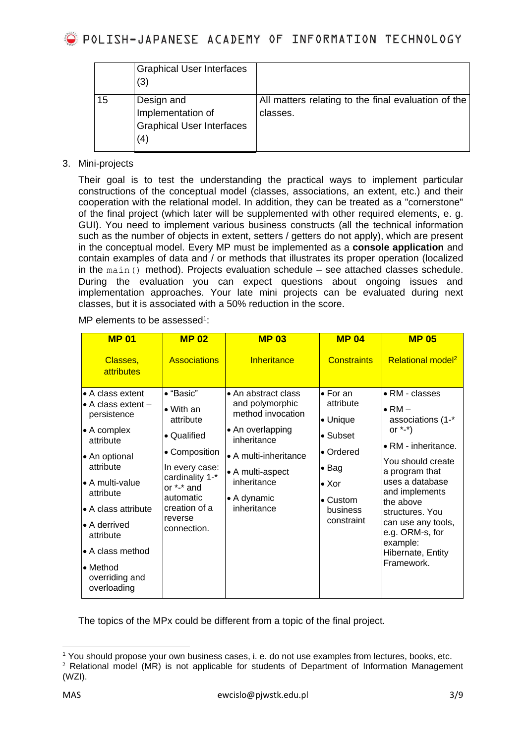|    | <b>Graphical User Interfaces</b><br>(3)                                    |                                                                 |
|----|----------------------------------------------------------------------------|-----------------------------------------------------------------|
| 15 | Design and<br>Implementation of<br><b>Graphical User Interfaces</b><br>(4) | All matters relating to the final evaluation of the<br>classes. |

## 3. Mini-projects

Their goal is to test the understanding the practical ways to implement particular constructions of the conceptual model (classes, associations, an extent, etc.) and their cooperation with the relational model. In addition, they can be treated as a "cornerstone" of the final project (which later will be supplemented with other required elements, e. g. GUI). You need to implement various business constructs (all the technical information such as the number of objects in extent, setters / getters do not apply), which are present in the conceptual model. Every MP must be implemented as a **console application** and contain examples of data and / or methods that illustrates its proper operation (localized in the main() method). Projects evaluation schedule – see attached classes schedule. During the evaluation you can expect questions about ongoing issues and implementation approaches. Your late mini projects can be evaluated during next classes, but it is associated with a 50% reduction in the score.

MP elements to be assessed<sup>1</sup>:

| <b>MP 01</b>                                                                                                                                                                                                                                                                                   | <b>MP02</b>                                                                                                                                                                                    | <b>MP 03</b>                                                                                                                                                                                     | <b>MP 04</b>                                                                                                                                               | <b>MP 05</b>                                                                                                                                                                                                                                                                                        |
|------------------------------------------------------------------------------------------------------------------------------------------------------------------------------------------------------------------------------------------------------------------------------------------------|------------------------------------------------------------------------------------------------------------------------------------------------------------------------------------------------|--------------------------------------------------------------------------------------------------------------------------------------------------------------------------------------------------|------------------------------------------------------------------------------------------------------------------------------------------------------------|-----------------------------------------------------------------------------------------------------------------------------------------------------------------------------------------------------------------------------------------------------------------------------------------------------|
| Classes,<br>attributes                                                                                                                                                                                                                                                                         | <b>Associations</b>                                                                                                                                                                            | Inheritance                                                                                                                                                                                      | <b>Constraints</b>                                                                                                                                         | Relational model <sup>2</sup>                                                                                                                                                                                                                                                                       |
| • A class extent<br>$\bullet$ A class extent $-$<br>persistence<br>• A complex<br>attribute<br>• An optional<br>attribute<br>$\bullet$ A multi-value<br>attribute<br>• A class attribute<br>• A derrived<br>attribute<br>• A class method<br>$\bullet$ Method<br>overriding and<br>overloading | $\bullet$ "Basic"<br>$\bullet$ With an<br>attribute<br>• Qualified<br>• Composition<br>In every case:<br>cardinality 1-*<br>or *-* and<br>automatic<br>creation of a<br>reverse<br>connection. | • An abstract class<br>and polymorphic<br>method invocation<br>• An overlapping<br>inheritance<br>• A multi-inheritance<br>• A multi-aspect<br>inheritance<br>$\bullet$ A dynamic<br>inheritance | $\bullet$ For an<br>attribute<br>• Unique<br>$\bullet$ Subset<br>• Ordered<br>$\bullet$ Bag<br>$\bullet$ Xor<br>$\bullet$ Custom<br>business<br>constraint | • RM - classes<br>$\bullet$ RM $-$<br>associations (1-*<br>or $*$ - $*)$<br>• RM - inheritance.<br>You should create<br>a program that<br>uses a database<br>and implements<br>the above<br>structures. You<br>can use any tools,<br>e.g. ORM-s, for<br>example:<br>Hibernate, Entity<br>Framework. |

The topics of the MPx could be different from a topic of the final project.

<sup>1</sup> You should propose your own business cases, i. e. do not use examples from lectures, books, etc.

 $2$  Relational model (MR) is not applicable for students of Department of Information Management (WZI).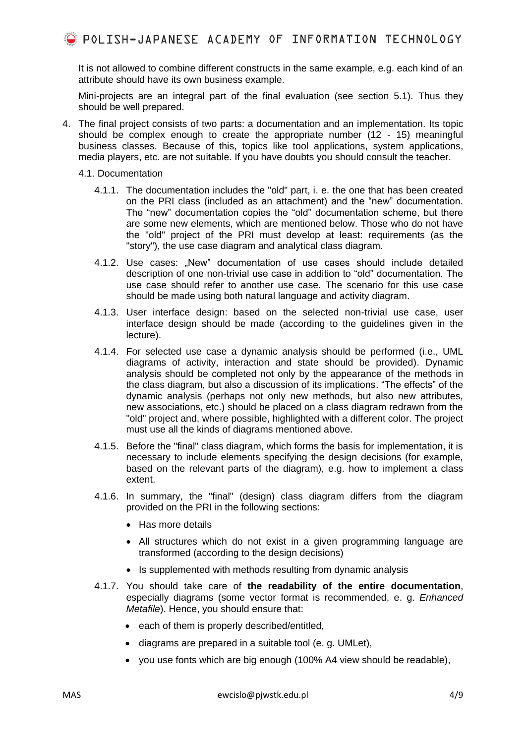It is not allowed to combine different constructs in the same example, e.g. each kind of an attribute should have its own business example.

Mini-projects are an integral part of the final evaluation (see section 5.1). Thus they should be well prepared.

- 4. The final project consists of two parts: a documentation and an implementation. Its topic should be complex enough to create the appropriate number (12 - 15) meaningful business classes. Because of this, topics like tool applications, system applications, media players, etc. are not suitable. If you have doubts you should consult the teacher.
	- 4.1. Documentation
		- 4.1.1. The documentation includes the "old" part, i. e. the one that has been created on the PRI class (included as an attachment) and the "new" documentation. The "new" documentation copies the "old" documentation scheme, but there are some new elements, which are mentioned below. Those who do not have the "old" project of the PRI must develop at least: requirements (as the "story"), the use case diagram and analytical class diagram.
		- 4.1.2. Use cases: "New" documentation of use cases should include detailed description of one non-trivial use case in addition to "old" documentation. The use case should refer to another use case. The scenario for this use case should be made using both natural language and activity diagram.
		- 4.1.3. User interface design: based on the selected non-trivial use case, user interface design should be made (according to the guidelines given in the lecture).
		- 4.1.4. For selected use case a dynamic analysis should be performed (i.e., UML diagrams of activity, interaction and state should be provided). Dynamic analysis should be completed not only by the appearance of the methods in the class diagram, but also a discussion of its implications. "The effects" of the dynamic analysis (perhaps not only new methods, but also new attributes, new associations, etc.) should be placed on a class diagram redrawn from the "old" project and, where possible, highlighted with a different color. The project must use all the kinds of diagrams mentioned above.
		- 4.1.5. Before the "final" class diagram, which forms the basis for implementation, it is necessary to include elements specifying the design decisions (for example, based on the relevant parts of the diagram), e.g. how to implement a class extent.
		- 4.1.6. In summary, the "final" (design) class diagram differs from the diagram provided on the PRI in the following sections:
			- Has more details
			- All structures which do not exist in a given programming language are transformed (according to the design decisions)
			- Is supplemented with methods resulting from dynamic analysis
		- 4.1.7. You should take care of **the readability of the entire documentation**, especially diagrams (some vector format is recommended, e. g. *Enhanced Metafile*). Hence, you should ensure that:
			- each of them is properly described/entitled,
			- diagrams are prepared in a suitable tool (e. g. UMLet),
			- you use fonts which are big enough (100% A4 view should be readable),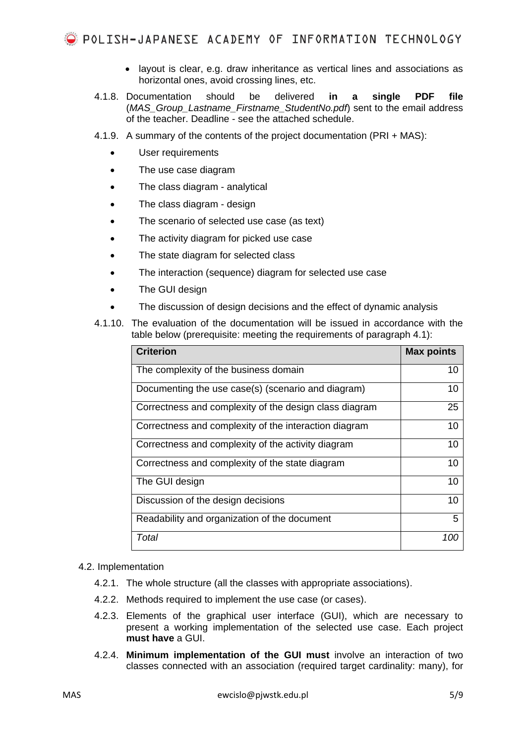- layout is clear, e.g. draw inheritance as vertical lines and associations as horizontal ones, avoid crossing lines, etc.
- 4.1.8. Documentation should be delivered **in a single PDF file** (*MAS\_Group\_Lastname\_Firstname\_StudentNo.pdf*) sent to the email address of the teacher. Deadline - see the attached schedule.
- 4.1.9. A summary of the contents of the project documentation (PRI + MAS):
	- User requirements
	- The use case diagram
	- The class diagram analytical
	- The class diagram design
	- The scenario of selected use case (as text)
	- The activity diagram for picked use case
	- The state diagram for selected class
	- The interaction (sequence) diagram for selected use case
	- The GUI design
	- The discussion of design decisions and the effect of dynamic analysis
- <span id="page-4-0"></span>4.1.10. The evaluation of the documentation will be issued in accordance with the table below (prerequisite: meeting the requirements of paragraph 4.1):

| <b>Criterion</b>                                       | <b>Max points</b> |
|--------------------------------------------------------|-------------------|
| The complexity of the business domain                  | 10                |
| Documenting the use case(s) (scenario and diagram)     | 10                |
| Correctness and complexity of the design class diagram | 25                |
| Correctness and complexity of the interaction diagram  | 10                |
| Correctness and complexity of the activity diagram     | 10                |
| Correctness and complexity of the state diagram        | 10                |
| The GUI design                                         | 10                |
| Discussion of the design decisions                     | 10                |
| Readability and organization of the document           | 5                 |
| Total                                                  | 100               |

#### 4.2. Implementation

- 4.2.1. The whole structure (all the classes with appropriate associations).
- 4.2.2. Methods required to implement the use case (or cases).
- 4.2.3. Elements of the graphical user interface (GUI), which are necessary to present a working implementation of the selected use case. Each project **must have** a GUI.
- 4.2.4. **Minimum implementation of the GUI must** involve an interaction of two classes connected with an association (required target cardinality: many), for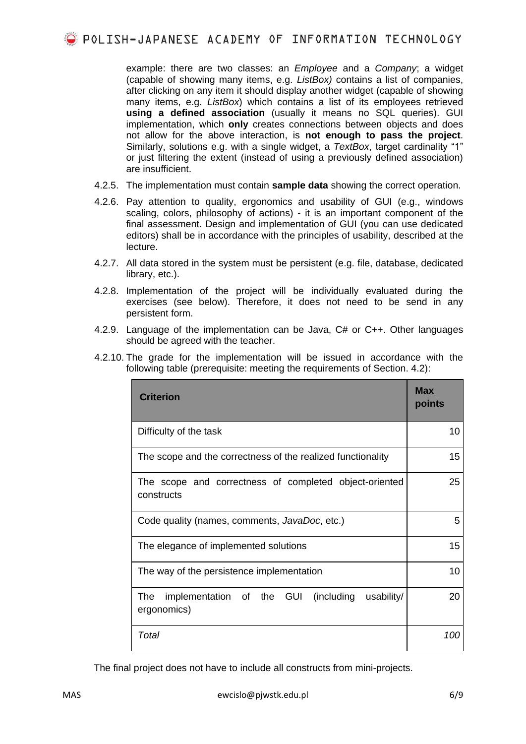example: there are two classes: an *Employee* and a *Company*; a widget (capable of showing many items, e.g. *ListBox)* contains a list of companies, after clicking on any item it should display another widget (capable of showing many items, e.g. *ListBox*) which contains a list of its employees retrieved **using a defined association** (usually it means no SQL queries). GUI implementation, which **only** creates connections between objects and does not allow for the above interaction, is **not enough to pass the project**. Similarly, solutions e.g. with a single widget, a *TextBox*, target cardinality "1" or just filtering the extent (instead of using a previously defined association) are insufficient.

- 4.2.5. The implementation must contain **sample data** showing the correct operation.
- 4.2.6. Pay attention to quality, ergonomics and usability of GUI (e.g., windows scaling, colors, philosophy of actions) - it is an important component of the final assessment. Design and implementation of GUI (you can use dedicated editors) shall be in accordance with the principles of usability, described at the lecture.
- 4.2.7. All data stored in the system must be persistent (e.g. file, database, dedicated library, etc.).
- 4.2.8. Implementation of the project will be individually evaluated during the exercises (see below). Therefore, it does not need to be send in any persistent form.
- 4.2.9. Language of the implementation can be Java, C# or C++. Other languages should be agreed with the teacher.

<span id="page-5-0"></span>

|  |  | 4.2.10. The grade for the implementation will be issued in accordance with the |  |  |  |  |
|--|--|--------------------------------------------------------------------------------|--|--|--|--|
|  |  | following table (prerequisite: meeting the requirements of Section. 4.2):      |  |  |  |  |

| <b>Criterion</b>                                                            | Max<br>points |  |
|-----------------------------------------------------------------------------|---------------|--|
| Difficulty of the task                                                      | 10            |  |
| The scope and the correctness of the realized functionality                 | 15            |  |
| The scope and correctness of completed object-oriented<br>constructs        | 25            |  |
| Code quality (names, comments, JavaDoc, etc.)                               | 5             |  |
| The elegance of implemented solutions                                       | 15            |  |
| The way of the persistence implementation                                   | 10            |  |
| implementation of the GUI<br>(including<br>usability/<br>The<br>ergonomics) | 20            |  |
| Total                                                                       | 100           |  |

The final project does not have to include all constructs from mini-projects.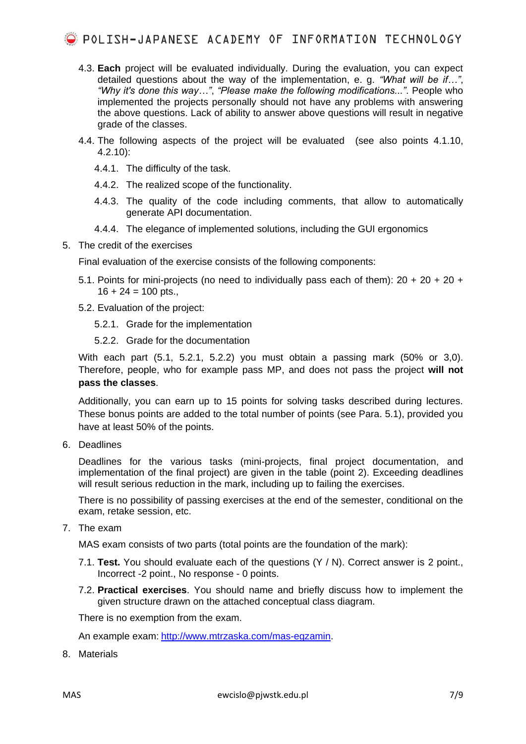- 4.3. **Each** project will be evaluated individually. During the evaluation, you can expect detailed questions about the way of the implementation, e. g. *"What will be if…"*, *"Why it's done this way…"*, *"Please make the following modifications..."*. People who implemented the projects personally should not have any problems with answering the above questions. Lack of ability to answer above questions will result in negative grade of the classes.
- 4.4. The following aspects of the project will be evaluated (see also points [4.1.10,](#page-4-0) [4.2.10\)](#page-5-0):
	- 4.4.1. The difficulty of the task.
	- 4.4.2. The realized scope of the functionality.
	- 4.4.3. The quality of the code including comments, that allow to automatically generate API documentation.
	- 4.4.4. The elegance of implemented solutions, including the GUI ergonomics
- 5. The credit of the exercises

Final evaluation of the exercise consists of the following components:

- <span id="page-6-0"></span>5.1. Points for mini-projects (no need to individually pass each of them):  $20 + 20 + 20 + 10$  $16 + 24 = 100$  pts.,
- <span id="page-6-1"></span>5.2. Evaluation of the project:
	- 5.2.1. Grade for the implementation
	- 5.2.2. Grade for the documentation

<span id="page-6-2"></span>With each part [\(5.1,](#page-6-0) [5.2.1,](#page-6-1) [5.2.2\)](#page-6-2) you must obtain a passing mark (50% or 3,0). Therefore, people, who for example pass MP, and does not pass the project **will not pass the classes**.

Additionally, you can earn up to 15 points for solving tasks described during lectures. These bonus points are added to the total number of points (see Para. 5.1), provided you have at least 50% of the points.

6. Deadlines

Deadlines for the various tasks (mini-projects, final project documentation, and implementation of the final project) are given in the table (point 2). Exceeding deadlines will result serious reduction in the mark, including up to failing the exercises.

There is no possibility of passing exercises at the end of the semester, conditional on the exam, retake session, etc.

7. The exam

MAS exam consists of two parts (total points are the foundation of the mark):

- 7.1. **Test.** You should evaluate each of the questions (Y / N). Correct answer is 2 point., Incorrect -2 point., No response - 0 points.
- 7.2. **Practical exercises**. You should name and briefly discuss how to implement the given structure drawn on the attached conceptual class diagram.

There is no exemption from the exam.

An example exam: [http://www.mtrzaska.com/mas-egzamin.](http://www.mtrzaska.com/mas-egzamin)

8. Materials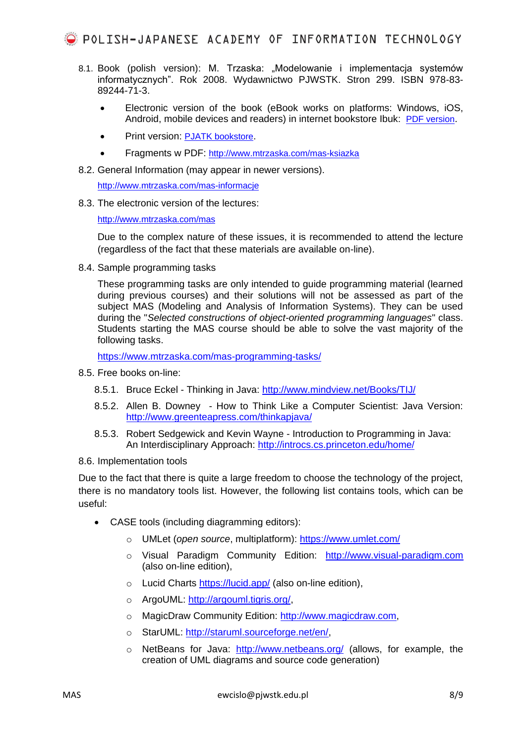- 8.1. Book (polish version): M. Trzaska: "Modelowanie i implementacja systemów informatycznych". Rok 2008. Wydawnictwo PJWSTK. Stron 299. ISBN 978-83- 89244-71-3.
	- Electronic version of the book (eBook works on platforms: Windows, iOS, Android, mobile devices and readers) in internet bookstore Ibuk: [PDF version](https://www.ibuk.pl/fiszka/43694/modelowanie-i-implementacja-systemow-informatycznych.html).
	- Print version: [PJATK](https://sklep.pja.edu.pl/produkt/modelowanie-i-implementacja-systemow-informatycznych/) bookstore.
	- Fragments w PDF: <http://www.mtrzaska.com/mas-ksiazka>
- 8.2. General Information (may appear in newer versions).

<http://www.mtrzaska.com/mas-informacje>

8.3. The electronic version of the lectures:

<http://www.mtrzaska.com/mas>

Due to the complex nature of these issues, it is recommended to attend the lecture (regardless of the fact that these materials are available on-line).

8.4. Sample programming tasks

These programming tasks are only intended to guide programming material (learned during previous courses) and their solutions will not be assessed as part of the subject MAS (Modeling and Analysis of Information Systems). They can be used during the "*Selected constructions of object-oriented programming languages*" class. Students starting the MAS course should be able to solve the vast majority of the following tasks.

<https://www.mtrzaska.com/mas-programming-tasks/>

- 8.5. Free books on-line:
	- 8.5.1. Bruce Eckel Thinking in Java:<http://www.mindview.net/Books/TIJ/>
	- 8.5.2. Allen B. Downey How to Think Like a Computer Scientist: Java Version: <http://www.greenteapress.com/thinkapjava/>
	- 8.5.3. Robert Sedgewick and Kevin Wayne Introduction to Programming in Java: An Interdisciplinary Approach:<http://introcs.cs.princeton.edu/home/>
- 8.6. Implementation tools

Due to the fact that there is quite a large freedom to choose the technology of the project, there is no mandatory tools list. However, the following list contains tools, which can be useful:

- CASE tools (including diagramming editors):
	- o UMLet (*open source*, multiplatform):<https://www.umlet.com/>
	- o Visual Paradigm Community Edition: [http://www.visual-paradigm.com](http://www.visual-paradigm.com/) (also on-line edition),
	- o Lucid Charts<https://lucid.app/> (also on-line edition),
	- o ArgoUML: [http://argouml.tigris.org/,](http://argouml.tigris.org/)
	- o MagicDraw Community Edition: [http://www.magicdraw.com,](http://www.magicdraw.com/)
	- o StarUML: [http://staruml.sourceforge.net/en/,](http://staruml.sourceforge.net/en/)
	- o NetBeans for Java: <http://www.netbeans.org/> (allows, for example, the creation of UML diagrams and source code generation)